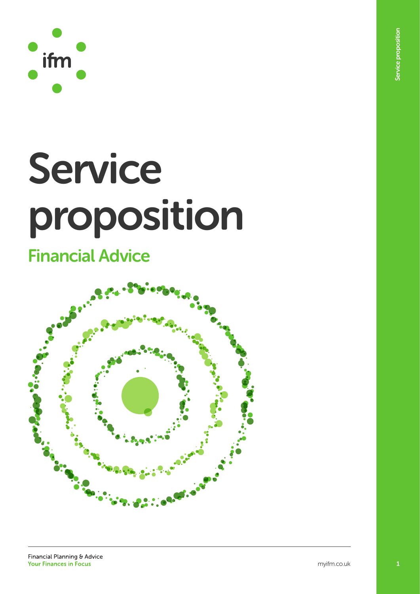

# Service proposition

## Financial Advice

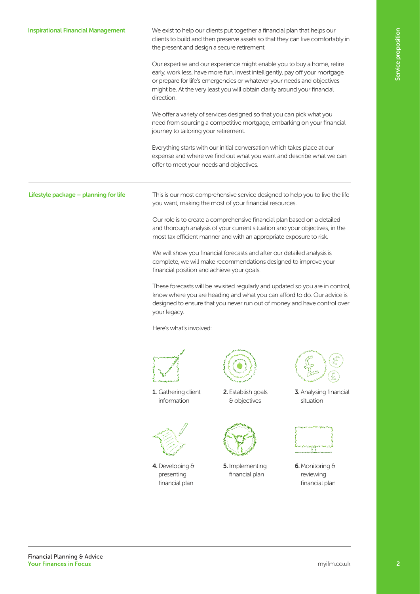## you want, making the most of your financial resources. financial position and achieve your goals. your legacy. Here's what's involved: 2. Establish goals & objectives 1. Gathering client information 3. Analysing financial situation 5. Implementing financial plan 4.Developing & presenting financial plan

We exist to help our clients put together a financial plan that helps our clients to build and then preserve assets so that they can live comfortably in the present and design a secure retirement.

Our expertise and our experience might enable you to buy a home, retire early, work less, have more fun, invest intelligently, pay off your mortgage or prepare for life's emergencies or whatever your needs and objectives might be. At the very least you will obtain clarity around your financial direction.

We offer a variety of services designed so that you can pick what you need from sourcing a competitive mortgage, embarking on your financial journey to tailoring your retirement.

Everything starts with our initial conversation which takes place at our expense and where we find out what you want and describe what we can offer to meet your needs and objectives.

Lifestyle package – planning for life

Inspirational Financial Management

This is our most comprehensive service designed to help you to live the life

Our role is to create a comprehensive financial plan based on a detailed and thorough analysis of your current situation and your objectives, in the most tax efficient manner and with an appropriate exposure to risk.

We will show you financial forecasts and after our detailed analysis is complete, we will make recommendations designed to improve your

These forecasts will be revisited regularly and updated so you are in control, know where you are heading and what you can afford to do. Our advice is designed to ensure that you never run out of money and have control over





6.Monitoring & reviewing financial plan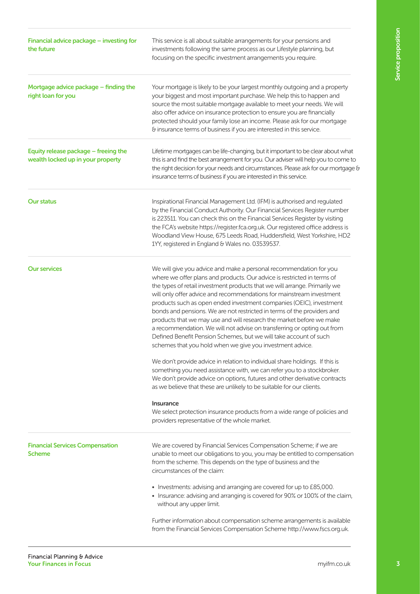| Financial advice package - investing for<br>the future                    | This service is all about suitable arrangements for your pensions and<br>investments following the same process as our Lifestyle planning, but<br>focusing on the specific investment arrangements you require.                                                                                                                                                                                                                                                                                                                                                                                                                                                                                                                            |  |  |
|---------------------------------------------------------------------------|--------------------------------------------------------------------------------------------------------------------------------------------------------------------------------------------------------------------------------------------------------------------------------------------------------------------------------------------------------------------------------------------------------------------------------------------------------------------------------------------------------------------------------------------------------------------------------------------------------------------------------------------------------------------------------------------------------------------------------------------|--|--|
| Mortgage advice package – finding the<br>right loan for you               | Your mortgage is likely to be your largest monthly outgoing and a property<br>your biggest and most important purchase. We help this to happen and<br>source the most suitable mortgage available to meet your needs. We will<br>also offer advice on insurance protection to ensure you are financially<br>protected should your family lose an income. Please ask for our mortgage<br>& insurance terms of business if you are interested in this service.                                                                                                                                                                                                                                                                               |  |  |
| Equity release package - freeing the<br>wealth locked up in your property | Lifetime mortgages can be life-changing, but it important to be clear about what<br>this is and find the best arrangement for you. Our adviser will help you to come to<br>the right decision for your needs and circumstances. Please ask for our mortgage &<br>insurance terms of business if you are interested in this service.                                                                                                                                                                                                                                                                                                                                                                                                        |  |  |
| <b>Our status</b>                                                         | Inspirational Financial Management Ltd. (IFM) is authorised and regulated<br>by the Financial Conduct Authority. Our Financial Services Register number<br>is 223511. You can check this on the Financial Services Register by visiting<br>the FCA's website https://register.fca.org.uk. Our registered office address is<br>Woodland View House, 675 Leeds Road, Huddersfield, West Yorkshire, HD2<br>1YY, registered in England & Wales no. 03539537.                                                                                                                                                                                                                                                                                   |  |  |
| <b>Our services</b>                                                       | We will give you advice and make a personal recommendation for you<br>where we offer plans and products. Our advice is restricted in terms of<br>the types of retail investment products that we will arrange. Primarily we<br>will only offer advice and recommendations for mainstream investment<br>products such as open ended investment companies (OEIC), investment<br>bonds and pensions. We are not restricted in terms of the providers and<br>products that we may use and will research the market before we make<br>a recommendation. We will not advise on transferring or opting out from<br>Defined Benefit Pension Schemes, but we will take account of such<br>schemes that you hold when we give you investment advice. |  |  |
|                                                                           | We don't provide advice in relation to individual share holdings. If this is<br>something you need assistance with, we can refer you to a stockbroker.<br>We don't provide advice on options, futures and other derivative contracts<br>as we believe that these are unlikely to be suitable for our clients.                                                                                                                                                                                                                                                                                                                                                                                                                              |  |  |
|                                                                           | <b>Insurance</b><br>We select protection insurance products from a wide range of policies and<br>providers representative of the whole market.                                                                                                                                                                                                                                                                                                                                                                                                                                                                                                                                                                                             |  |  |
| <b>Financial Services Compensation</b><br><b>Scheme</b>                   | We are covered by Financial Services Compensation Scheme; if we are<br>unable to meet our obligations to you, you may be entitled to compensation<br>from the scheme. This depends on the type of business and the<br>circumstances of the claim:                                                                                                                                                                                                                                                                                                                                                                                                                                                                                          |  |  |
|                                                                           | • Investments: advising and arranging are covered for up to £85,000.<br>• Insurance: advising and arranging is covered for 90% or 100% of the claim,<br>without any upper limit.                                                                                                                                                                                                                                                                                                                                                                                                                                                                                                                                                           |  |  |
|                                                                           | Further information about compensation scheme arrangements is available<br>from the Financial Services Compensation Scheme http://www.fscs.org.uk.                                                                                                                                                                                                                                                                                                                                                                                                                                                                                                                                                                                         |  |  |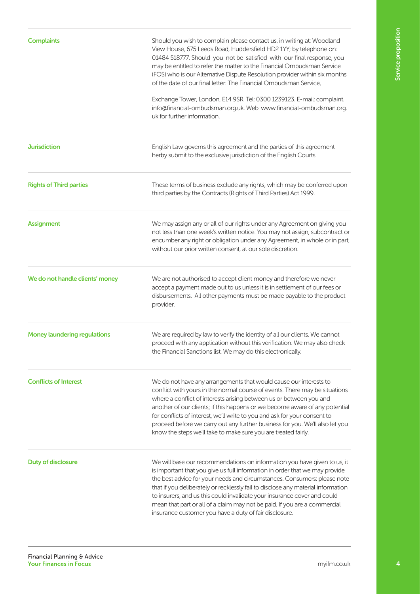| <b>Complaints</b>                   | Should you wish to complain please contact us, in writing at: Woodland<br>View House, 675 Leeds Road, Huddersfield HD2 1YY; by telephone on:<br>01484 518777. Should you not be satisfied with our final response, you<br>may be entitled to refer the matter to the Financial Ombudsman Service<br>(FOS) who is our Alternative Dispute Resolution provider within six months<br>of the date of our final letter: The Financial Ombudsman Service,                                                                                        |  |  |
|-------------------------------------|--------------------------------------------------------------------------------------------------------------------------------------------------------------------------------------------------------------------------------------------------------------------------------------------------------------------------------------------------------------------------------------------------------------------------------------------------------------------------------------------------------------------------------------------|--|--|
|                                     | Exchange Tower, London, E14 9SR. Tel: 0300 1239123. E-mail: complaint.<br>info@financial-ombudsman.org.uk. Web: www.financial-ombudsman.org.<br>uk for further information.                                                                                                                                                                                                                                                                                                                                                                |  |  |
| <b>Jurisdiction</b>                 | English Law governs this agreement and the parties of this agreement<br>herby submit to the exclusive jurisdiction of the English Courts.                                                                                                                                                                                                                                                                                                                                                                                                  |  |  |
| <b>Rights of Third parties</b>      | These terms of business exclude any rights, which may be conferred upon<br>third parties by the Contracts (Rights of Third Parties) Act 1999.                                                                                                                                                                                                                                                                                                                                                                                              |  |  |
| <b>Assignment</b>                   | We may assign any or all of our rights under any Agreement on giving you<br>not less than one week's written notice. You may not assign, subcontract or<br>encumber any right or obligation under any Agreement, in whole or in part,<br>without our prior written consent, at our sole discretion.                                                                                                                                                                                                                                        |  |  |
| We do not handle clients' money     | We are not authorised to accept client money and therefore we never<br>accept a payment made out to us unless it is in settlement of our fees or<br>disbursements. All other payments must be made payable to the product<br>provider.                                                                                                                                                                                                                                                                                                     |  |  |
| <b>Money laundering regulations</b> | We are required by law to verify the identity of all our clients. We cannot<br>proceed with any application without this verification. We may also check<br>the Financial Sanctions list. We may do this electronically.                                                                                                                                                                                                                                                                                                                   |  |  |
| <b>Conflicts of Interest</b>        | We do not have any arrangements that would cause our interests to<br>conflict with yours in the normal course of events. There may be situations<br>where a conflict of interests arising between us or between you and<br>another of our clients; if this happens or we become aware of any potential<br>for conflicts of interest, we'll write to you and ask for your consent to<br>proceed before we carry out any further business for you. We'll also let you<br>know the steps we'll take to make sure you are treated fairly.      |  |  |
| <b>Duty of disclosure</b>           | We will base our recommendations on information you have given to us, it<br>is important that you give us full information in order that we may provide<br>the best advice for your needs and circumstances. Consumers: please note<br>that if you deliberately or recklessly fail to disclose any material information<br>to insurers, and us this could invalidate your insurance cover and could<br>mean that part or all of a claim may not be paid. If you are a commercial<br>insurance customer you have a duty of fair disclosure. |  |  |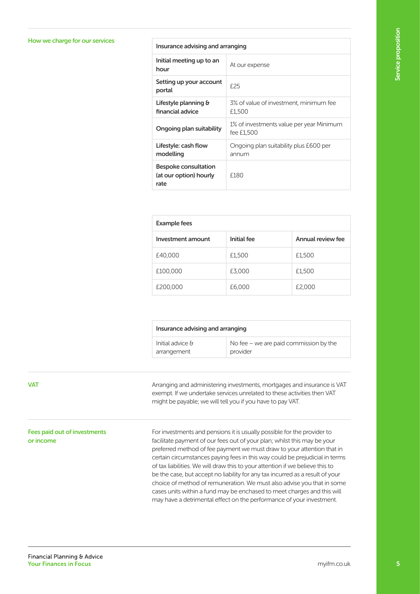### How we charge for our services<br>Insurance advising and arranging

| Initial meeting up to an<br>hour                              | At our expense                                         |
|---------------------------------------------------------------|--------------------------------------------------------|
| Setting up your account<br>portal                             | F <sub>25</sub>                                        |
| Lifestyle planning &<br>financial advice                      | 3% of value of investment, minimum fee<br>£1,500       |
| Ongoing plan suitability                                      | 1% of investments value per year Minimum<br>fee £1.500 |
| Lifestyle: cash flow<br>modelling                             | Ongoing plan suitability plus £600 per<br>annum        |
| <b>Bespoke consultation</b><br>(at our option) hourly<br>rate | £180                                                   |

| <b>Example fees</b> |             |                   |  |
|---------------------|-------------|-------------------|--|
| Investment amount   | Initial fee | Annual review fee |  |
| £40,000             | £1,500      | £1,500            |  |
| £100,000            | £3,000      | £1,500            |  |
| £200,000            | £6,000      | £2,000            |  |

| Insurance advising and arranging |                                          |
|----------------------------------|------------------------------------------|
| Initial advice &                 | No fee $-$ we are paid commission by the |
| arrangement                      | provider                                 |

Arranging and administering investments, mortgages and insurance is VAT exempt. If we undertake services unrelated to these activities then VAT might be payable; we will tell you if you have to pay VAT.

For investments and pensions it is usually possible for the provider to facilitate payment of our fees out of your plan; whilst this may be your preferred method of fee payment we must draw to your attention that in certain circumstances paying fees in this way could be prejudicial in terms of tax liabilities. We will draw this to your attention if we believe this to be the case, but accept no liability for any tax incurred as a result of your choice of method of remuneration. We must also advise you that in some cases units within a fund may be enchased to meet charges and this will may have a detrimental effect on the performance of your investment.

#### **VAT**

#### Fees paid out of investments or income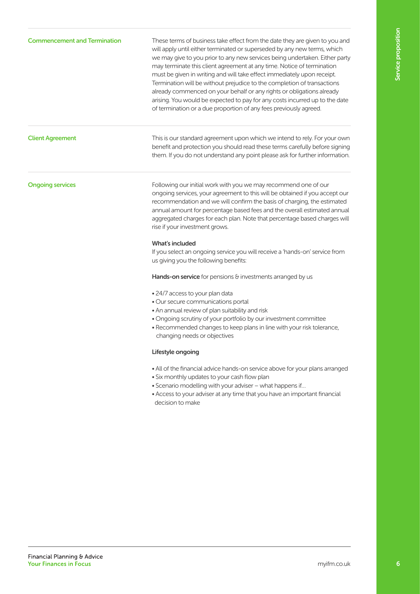#### Commencement and Termination

These terms of business take effect from the date they are given to you and will apply until either terminated or superseded by any new terms, which we may give to you prior to any new services being undertaken. Either party may terminate this client agreement at any time. Notice of termination must be given in writing and will take effect immediately upon receipt. Termination will be without prejudice to the completion of transactions already commenced on your behalf or any rights or obligations already arising. You would be expected to pay for any costs incurred up to the date of termination or a due proportion of any fees previously agreed.

#### Client Agreement

This is our standard agreement upon which we intend to rely. For your own benefit and protection you should read these terms carefully before signing them. If you do not understand any point please ask for further information.

#### Ongoing services

Following our initial work with you we may recommend one of our ongoing services, your agreement to this will be obtained if you accept our recommendation and we will confirm the basis of charging, the estimated annual amount for percentage based fees and the overall estimated annual aggregated charges for each plan. Note that percentage based charges will rise if your investment grows.

#### What's included

If you select an ongoing service you will receive a 'hands-on' service from us giving you the following benefits:

Hands-on service for pensions & investments arranged by us

- 24/7 access to your plan data
- Our secure communications portal
- An annual review of plan suitability and risk
- Ongoing scrutiny of your portfolio by our investment committee
- Recommended changes to keep plans in line with your risk tolerance, changing needs or objectives

#### Lifestyle ongoing

- All of the financial advice hands-on service above for your plans arranged
- Six monthly updates to your cash flow plan
- Scenario modelling with your adviser what happens if…
- Access to your adviser at any time that you have an important financial decision to make